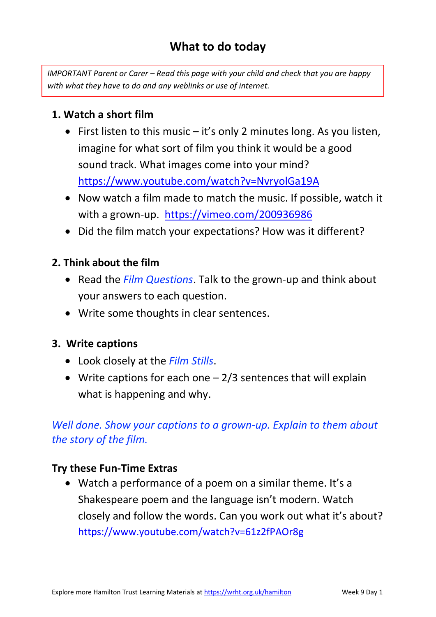# **What to do today**

*IMPORTANT Parent or Carer – Read this page with your child and check that you are happy with what they have to do and any weblinks or use of internet.* 

### **1. Watch a short film**

- First listen to this music  $-$  it's only 2 minutes long. As you listen, imagine for what sort of film you think it would be a good sound track. What images come into your mind? <https://www.youtube.com/watch?v=NvryolGa19A>
- Now watch a film made to match the music. If possible, watch it with a grown-up. <https://vimeo.com/200936986>
- Did the film match your expectations? How was it different?

### **2. Think about the film**

- Read the *Film Questions*. Talk to the grown-up and think about your answers to each question.
- Write some thoughts in clear sentences.

#### **3. Write captions**

- Look closely at the *Film Stills*.
- Write captions for each one  $-2/3$  sentences that will explain what is happening and why.

## *Well done. Show your captions to a grown-up. Explain to them about the story of the film.*

#### **Try these Fun-Time Extras**

• Watch a performance of a poem on a similar theme. It's a Shakespeare poem and the language isn't modern. Watch closely and follow the words. Can you work out what it's about? <https://www.youtube.com/watch?v=61z2fPAOr8g>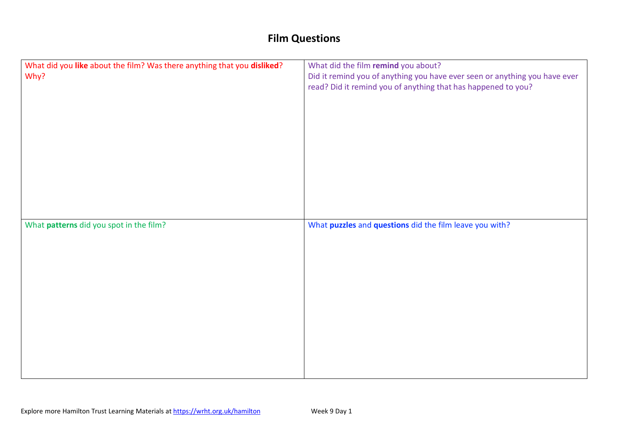# **Film Questions**

| What did you like about the film? Was there anything that you disliked?<br>Why? | What did the film remind you about?<br>Did it remind you of anything you have ever seen or anything you have ever<br>read? Did it remind you of anything that has happened to you? |
|---------------------------------------------------------------------------------|------------------------------------------------------------------------------------------------------------------------------------------------------------------------------------|
| What patterns did you spot in the film?                                         | What puzzles and questions did the film leave you with?                                                                                                                            |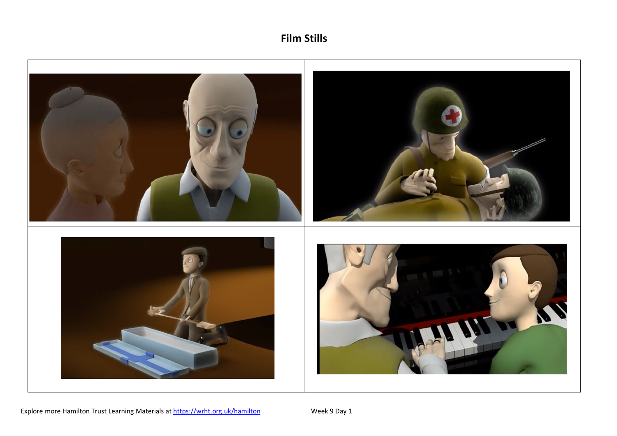

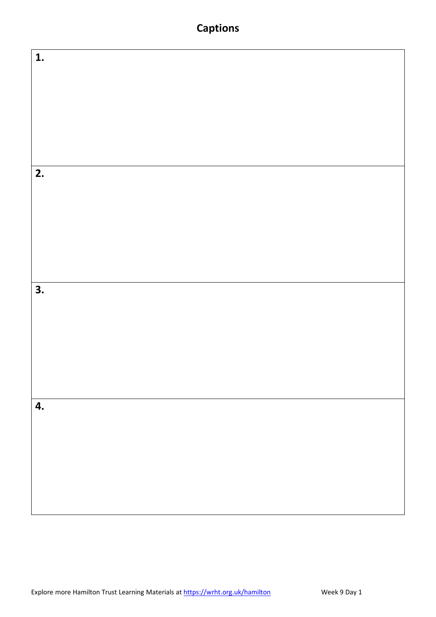## **Captions**

| $\overline{1}$ .          |  |
|---------------------------|--|
|                           |  |
|                           |  |
|                           |  |
|                           |  |
|                           |  |
|                           |  |
|                           |  |
|                           |  |
|                           |  |
|                           |  |
|                           |  |
|                           |  |
|                           |  |
|                           |  |
|                           |  |
|                           |  |
|                           |  |
|                           |  |
|                           |  |
|                           |  |
|                           |  |
| $\overline{2}$ .          |  |
|                           |  |
|                           |  |
|                           |  |
|                           |  |
|                           |  |
|                           |  |
|                           |  |
|                           |  |
|                           |  |
|                           |  |
|                           |  |
|                           |  |
|                           |  |
|                           |  |
|                           |  |
|                           |  |
|                           |  |
|                           |  |
|                           |  |
|                           |  |
|                           |  |
|                           |  |
|                           |  |
|                           |  |
|                           |  |
| $\overline{\mathbf{3}}$ . |  |
|                           |  |
|                           |  |
|                           |  |
|                           |  |
|                           |  |
|                           |  |
|                           |  |
|                           |  |
|                           |  |
|                           |  |
|                           |  |
|                           |  |
|                           |  |
|                           |  |
|                           |  |
|                           |  |
|                           |  |
|                           |  |
|                           |  |
|                           |  |
|                           |  |
|                           |  |
| 4.                        |  |
|                           |  |
|                           |  |
|                           |  |
|                           |  |
|                           |  |
|                           |  |
|                           |  |
|                           |  |
|                           |  |
|                           |  |
|                           |  |
|                           |  |
|                           |  |
|                           |  |
|                           |  |
|                           |  |
|                           |  |
|                           |  |